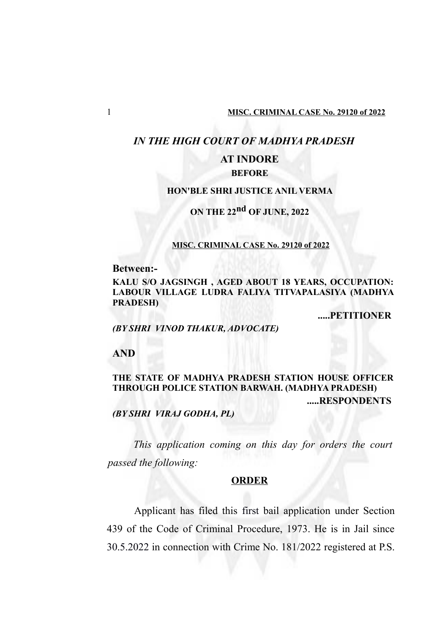## *IN THE HIGH COURT OF MADHYA PRADESH*

# **AT INDORE**

## **BEFORE**

### **HON'BLE SHRI JUSTICE ANIL VERMA**

## **ON THE 22nd OF JUNE, 2022**

#### **MISC. CRIMINAL CASE No. 29120 of 2022**

**Between:-**

**KALU S/O JAGSINGH , AGED ABOUT 18 YEARS, OCCUPATION: LABOUR VILLAGE LUDRA FALIYA TITVAPALASIYA (MADHYA PRADESH)**

**.....PETITIONER**

*(BY SHRI VINOD THAKUR, ADVOCATE)*

**AND**

## **THE STATE OF MADHYA PRADESH STATION HOUSE OFFICER THROUGH POLICE STATION BARWAH. (MADHYA PRADESH) .....RESPONDENTS**

*(BY SHRI VIRAJ GODHA, PL)*

*This application coming on this day for orders the court passed the following:*

#### **ORDER**

Applicant has filed this first bail application under Section 439 of the Code of Criminal Procedure, 1973. He is in Jail since 30.5.2022 in connection with Crime No. 181/2022 registered at P.S.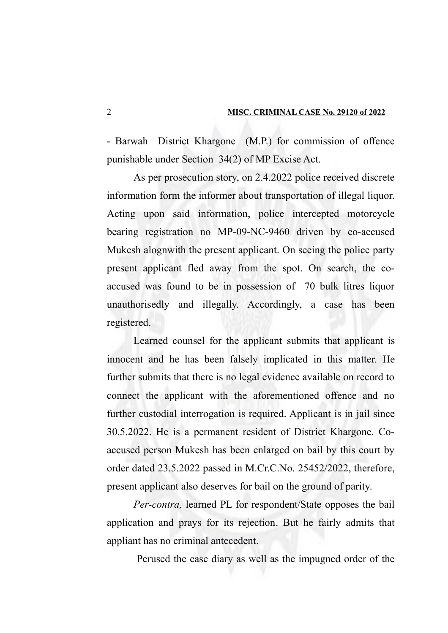- Barwah District Khargone (M.P.) for commission of offence punishable under Section 34(2) of MP Excise Act.

As per prosecution story, on 2.4.2022 police received discrete information form the informer about transportation of illegal liquor. Acting upon said information, police intercepted motorcycle bearing registration no MP-09-NC-9460 driven by co-accused Mukesh alognwith the present applicant. On seeing the police party present applicant fled away from the spot. On search, the coaccused was found to be in possession of 70 bulk litres liquor unauthorisedly and illegally. Accordingly, a case has been registered.

Learned counsel for the applicant submits that applicant is innocent and he has been falsely implicated in this matter. He further submits that there is no legal evidence available on record to connect the applicant with the aforementioned offence and no further custodial interrogation is required. Applicant is in jail since 30.5.2022. He is a permanent resident of District Khargone. Coaccused person Mukesh has been enlarged on bail by this court by order dated 23.5.2022 passed in M.Cr.C.No. 25452/2022, therefore, present applicant also deserves for bail on the ground of parity.

*Per-contra,* learned PL for respondent/State opposes the bail application and prays for its rejection. But he fairly admits that appliant has no criminal antecedent.

Perused the case diary as well as the impugned order of the